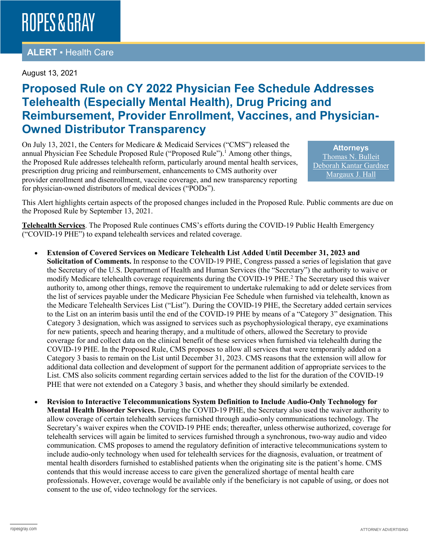#### **ALERT** ▪ Health Care

#### August 13, 2021

### **Proposed Rule on CY 2022 Physician Fee Schedule Addresses Telehealth (Especially Mental Health), Drug Pricing and Reimbursement, Provider Enrollment, Vaccines, and Physician-Owned Distributor Transparency**

On July 13, 2021, the Centers for Medicare & Medicaid Services ("CMS") released the annual Physician Fee Schedule Proposed Rule ("Proposed Rule").<sup>1</sup> Among other things, the Proposed Rule addresses telehealth reform, particularly around mental health services, prescription drug pricing and reimbursement, enhancements to CMS authority over provider enrollment and disenrollment, vaccine coverage, and new transparency reporting for physician-owned distributors of medical devices ("PODs").

**Attorneys** [Thomas N. Bulleit](https://www.ropesgray.com/en/biographies/b/Thomas-Bulleit) [Deborah Kantar Gardner](https://www.ropesgray.com/en/biographies/g/deborah-kantar-gardner) [Margaux J. Hall](https://www.ropesgray.com/en/biographies/h/margaux-hall)

This Alert highlights certain aspects of the proposed changes included in the Proposed Rule. Public comments are due on the Proposed Rule by September 13, 2021.

**Telehealth Services**. The Proposed Rule continues CMS's efforts during the COVID-19 Public Health Emergency ("COVID-19 PHE") to expand telehealth services and related coverage.

- **Extension of Covered Services on Medicare Telehealth List Added Until December 31, 2023 and Solicitation of Comments.** In response to the COVID-19 PHE, Congress passed a series of legislation that gave the Secretary of the U.S. Department of Health and Human Services (the "Secretary") the authority to waive or modify Medicare telehealth coverage requirements during the COVID-19 PHE.<sup>2</sup> The Secretary used this waiver authority to, among other things, remove the requirement to undertake rulemaking to add or delete services from the list of services payable under the Medicare Physician Fee Schedule when furnished via telehealth, known as the Medicare Telehealth Services List ("List"). During the COVID-19 PHE, the Secretary added certain services to the List on an interim basis until the end of the COVID-19 PHE by means of a "Category 3" designation. This Category 3 designation, which was assigned to services such as psychophysiological therapy, eye examinations for new patients, speech and hearing therapy, and a multitude of others, allowed the Secretary to provide coverage for and collect data on the clinical benefit of these services when furnished via telehealth during the COVID-19 PHE. In the Proposed Rule, CMS proposes to allow all services that were temporarily added on a Category 3 basis to remain on the List until December 31, 2023. CMS reasons that the extension will allow for additional data collection and development of support for the permanent addition of appropriate services to the List. CMS also solicits comment regarding certain services added to the list for the duration of the COVID-19 PHE that were not extended on a Category 3 basis, and whether they should similarly be extended.
- **Revision to Interactive Telecommunications System Definition to Include Audio-Only Technology for Mental Health Disorder Services.** During the COVID-19 PHE, the Secretary also used the waiver authority to allow coverage of certain telehealth services furnished through audio-only communications technology. The Secretary's waiver expires when the COVID-19 PHE ends; thereafter, unless otherwise authorized, coverage for telehealth services will again be limited to services furnished through a synchronous, two-way audio and video communication. CMS proposes to amend the regulatory definition of interactive telecommunications system to include audio-only technology when used for telehealth services for the diagnosis, evaluation, or treatment of mental health disorders furnished to established patients when the originating site is the patient's home. CMS contends that this would increase access to care given the generalized shortage of mental health care professionals. However, coverage would be available only if the beneficiary is not capable of using, or does not consent to the use of, video technology for the services.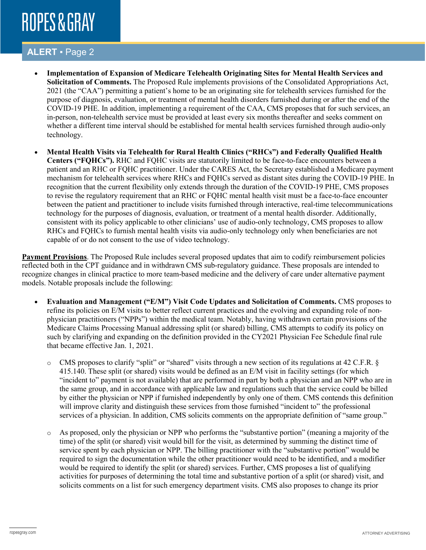### **ALERT** ▪ Page 2

- **Implementation of Expansion of Medicare Telehealth Originating Sites for Mental Health Services and Solicitation of Comments.** The Proposed Rule implements provisions of the Consolidated Appropriations Act, 2021 (the "CAA") permitting a patient's home to be an originating site for telehealth services furnished for the purpose of diagnosis, evaluation, or treatment of mental health disorders furnished during or after the end of the COVID-19 PHE. In addition, implementing a requirement of the CAA, CMS proposes that for such services, an in-person, non-telehealth service must be provided at least every six months thereafter and seeks comment on whether a different time interval should be established for mental health services furnished through audio-only technology.
- **Mental Health Visits via Telehealth for Rural Health Clinics ("RHCs") and Federally Qualified Health Centers ("FQHCs").** RHC and FQHC visits are statutorily limited to be face-to-face encounters between a patient and an RHC or FQHC practitioner. Under the CARES Act, the Secretary established a Medicare payment mechanism for telehealth services where RHCs and FQHCs served as distant sites during the COVID-19 PHE. In recognition that the current flexibility only extends through the duration of the COVID-19 PHE, CMS proposes to revise the regulatory requirement that an RHC or FQHC mental health visit must be a face-to-face encounter between the patient and practitioner to include visits furnished through interactive, real-time telecommunications technology for the purposes of diagnosis, evaluation, or treatment of a mental health disorder. Additionally, consistent with its policy applicable to other clinicians' use of audio-only technology, CMS proposes to allow RHCs and FQHCs to furnish mental health visits via audio-only technology only when beneficiaries are not capable of or do not consent to the use of video technology.

**Payment Provisions**. The Proposed Rule includes several proposed updates that aim to codify reimbursement policies reflected both in the CPT guidance and in withdrawn CMS sub-regulatory guidance. These proposals are intended to recognize changes in clinical practice to more team-based medicine and the delivery of care under alternative payment models. Notable proposals include the following:

- **Evaluation and Management ("E/M") Visit Code Updates and Solicitation of Comments.** CMS proposes to refine its policies on E/M visits to better reflect current practices and the evolving and expanding role of nonphysician practitioners ("NPPs") within the medical team. Notably, having withdrawn certain provisions of the Medicare Claims Processing Manual addressing split (or shared) billing, CMS attempts to codify its policy on such by clarifying and expanding on the definition provided in the CY2021 Physician Fee Schedule final rule that became effective Jan. 1, 2021.
	- o CMS proposes to clarify "split" or "shared" visits through a new section of its regulations at 42 C.F.R. § 415.140. These split (or shared) visits would be defined as an E/M visit in facility settings (for which "incident to" payment is not available) that are performed in part by both a physician and an NPP who are in the same group, and in accordance with applicable law and regulations such that the service could be billed by either the physician or NPP if furnished independently by only one of them. CMS contends this definition will improve clarity and distinguish these services from those furnished "incident to" the professional services of a physician. In addition, CMS solicits comments on the appropriate definition of "same group."
	- o As proposed, only the physician or NPP who performs the "substantive portion" (meaning a majority of the time) of the split (or shared) visit would bill for the visit, as determined by summing the distinct time of service spent by each physician or NPP. The billing practitioner with the "substantive portion" would be required to sign the documentation while the other practitioner would need to be identified, and a modifier would be required to identify the split (or shared) services. Further, CMS proposes a list of qualifying activities for purposes of determining the total time and substantive portion of a split (or shared) visit, and solicits comments on a list for such emergency department visits. CMS also proposes to change its prior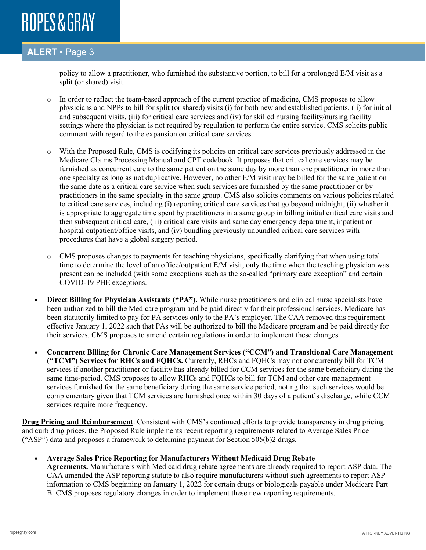#### **ALERT** ▪ Page 3

policy to allow a practitioner, who furnished the substantive portion, to bill for a prolonged E/M visit as a split (or shared) visit.

- o In order to reflect the team-based approach of the current practice of medicine, CMS proposes to allow physicians and NPPs to bill for split (or shared) visits (i) for both new and established patients, (ii) for initial and subsequent visits, (iii) for critical care services and (iv) for skilled nursing facility/nursing facility settings where the physician is not required by regulation to perform the entire service. CMS solicits public comment with regard to the expansion on critical care services.
- o With the Proposed Rule, CMS is codifying its policies on critical care services previously addressed in the Medicare Claims Processing Manual and CPT codebook. It proposes that critical care services may be furnished as concurrent care to the same patient on the same day by more than one practitioner in more than one specialty as long as not duplicative. However, no other E/M visit may be billed for the same patient on the same date as a critical care service when such services are furnished by the same practitioner or by practitioners in the same specialty in the same group. CMS also solicits comments on various policies related to critical care services, including (i) reporting critical care services that go beyond midnight, (ii) whether it is appropriate to aggregate time spent by practitioners in a same group in billing initial critical care visits and then subsequent critical care, (iii) critical care visits and same day emergency department, inpatient or hospital outpatient/office visits, and (iv) bundling previously unbundled critical care services with procedures that have a global surgery period.
- o CMS proposes changes to payments for teaching physicians, specifically clarifying that when using total time to determine the level of an office/outpatient E/M visit, only the time when the teaching physician was present can be included (with some exceptions such as the so-called "primary care exception" and certain COVID-19 PHE exceptions.
- **Direct Billing for Physician Assistants ("PA").** While nurse practitioners and clinical nurse specialists have been authorized to bill the Medicare program and be paid directly for their professional services, Medicare has been statutorily limited to pay for PA services only to the PA's employer. The CAA removed this requirement effective January 1, 2022 such that PAs will be authorized to bill the Medicare program and be paid directly for their services. CMS proposes to amend certain regulations in order to implement these changes.
- **Concurrent Billing for Chronic Care Management Services ("CCM") and Transitional Care Management ("TCM") Services for RHCs and FQHCs.** Currently, RHCs and FQHCs may not concurrently bill for TCM services if another practitioner or facility has already billed for CCM services for the same beneficiary during the same time-period. CMS proposes to allow RHCs and FQHCs to bill for TCM and other care management services furnished for the same beneficiary during the same service period, noting that such services would be complementary given that TCM services are furnished once within 30 days of a patient's discharge, while CCM services require more frequency.

**Drug Pricing and Reimbursement**. Consistent with CMS's continued efforts to provide transparency in drug pricing and curb drug prices, the Proposed Rule implements recent reporting requirements related to Average Sales Price ("ASP") data and proposes a framework to determine payment for Section 505(b)2 drugs.

• **Average Sales Price Reporting for Manufacturers Without Medicaid Drug Rebate** 

**Agreements.** Manufacturers with Medicaid drug rebate agreements are already required to report ASP data. The CAA amended the ASP reporting statute to also require manufacturers without such agreements to report ASP information to CMS beginning on January 1, 2022 for certain drugs or biologicals payable under Medicare Part B. CMS proposes regulatory changes in order to implement these new reporting requirements.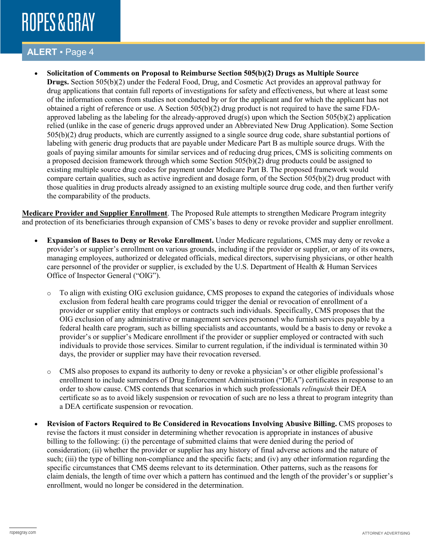#### **ALERT** ▪ Page 4

• **Solicitation of Comments on Proposal to Reimburse Section 505(b)(2) Drugs as Multiple Source Drugs.** Section 505(b)(2) under the Federal Food, Drug, and Cosmetic Act provides an approval pathway for drug applications that contain full reports of investigations for safety and effectiveness, but where at least some of the information comes from studies not conducted by or for the applicant and for which the applicant has not obtained a right of reference or use. A Section 505(b)(2) drug product is not required to have the same FDAapproved labeling as the labeling for the already-approved drug(s) upon which the Section 505(b)(2) application relied (unlike in the case of generic drugs approved under an Abbreviated New Drug Application). Some Section 505(b)(2) drug products, which are currently assigned to a single source drug code, share substantial portions of labeling with generic drug products that are payable under Medicare Part B as multiple source drugs. With the goals of paying similar amounts for similar services and of reducing drug prices, CMS is soliciting comments on a proposed decision framework through which some Section 505(b)(2) drug products could be assigned to existing multiple source drug codes for payment under Medicare Part B. The proposed framework would compare certain qualities, such as active ingredient and dosage form, of the Section 505(b)(2) drug product with those qualities in drug products already assigned to an existing multiple source drug code, and then further verify the comparability of the products.

**Medicare Provider and Supplier Enrollment**. The Proposed Rule attempts to strengthen Medicare Program integrity and protection of its beneficiaries through expansion of CMS's bases to deny or revoke provider and supplier enrollment.

- **Expansion of Bases to Deny or Revoke Enrollment.** Under Medicare regulations, CMS may deny or revoke a provider's or supplier's enrollment on various grounds, including if the provider or supplier, or any of its owners, managing employees, authorized or delegated officials, medical directors, supervising physicians, or other health care personnel of the provider or supplier, is excluded by the U.S. Department of Health & Human Services Office of Inspector General ("OIG").
	- o To align with existing OIG exclusion guidance, CMS proposes to expand the categories of individuals whose exclusion from federal health care programs could trigger the denial or revocation of enrollment of a provider or supplier entity that employs or contracts such individuals. Specifically, CMS proposes that the OIG exclusion of any administrative or management services personnel who furnish services payable by a federal health care program, such as billing specialists and accountants, would be a basis to deny or revoke a provider's or supplier's Medicare enrollment if the provider or supplier employed or contracted with such individuals to provide those services. Similar to current regulation, if the individual is terminated within 30 days, the provider or supplier may have their revocation reversed.
	- o CMS also proposes to expand its authority to deny or revoke a physician's or other eligible professional's enrollment to include surrenders of Drug Enforcement Administration ("DEA") certificates in response to an order to show cause. CMS contends that scenarios in which such professionals *relinquish* their DEA certificate so as to avoid likely suspension or revocation of such are no less a threat to program integrity than a DEA certificate suspension or revocation.
- **Revision of Factors Required to Be Considered in Revocations Involving Abusive Billing.** CMS proposes to revise the factors it must consider in determining whether revocation is appropriate in instances of abusive billing to the following: (i) the percentage of submitted claims that were denied during the period of consideration; (ii) whether the provider or supplier has any history of final adverse actions and the nature of such; (iii) the type of billing non-compliance and the specific facts; and (iv) any other information regarding the specific circumstances that CMS deems relevant to its determination. Other patterns, such as the reasons for claim denials, the length of time over which a pattern has continued and the length of the provider's or supplier's enrollment, would no longer be considered in the determination.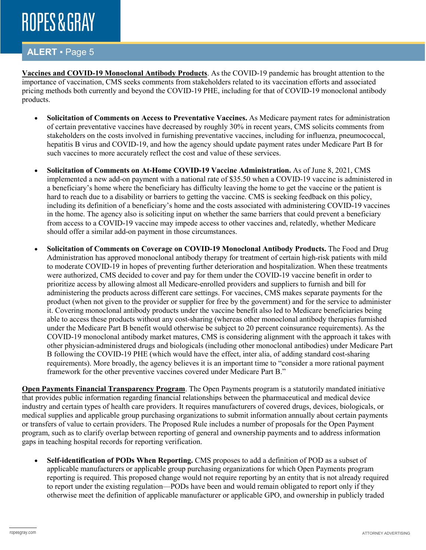#### **ALERT** ▪ Page 5

**Vaccines and COVID-19 Monoclonal Antibody Products**. As the COVID-19 pandemic has brought attention to the importance of vaccination, CMS seeks comments from stakeholders related to its vaccination efforts and associated pricing methods both currently and beyond the COVID-19 PHE, including for that of COVID-19 monoclonal antibody products.

- **Solicitation of Comments on Access to Preventative Vaccines.** As Medicare payment rates for administration of certain preventative vaccines have decreased by roughly 30% in recent years, CMS solicits comments from stakeholders on the costs involved in furnishing preventative vaccines, including for influenza, pneumococcal, hepatitis B virus and COVID-19, and how the agency should update payment rates under Medicare Part B for such vaccines to more accurately reflect the cost and value of these services.
- **Solicitation of Comments on At-Home COVID-19 Vaccine Administration.** As of June 8, 2021, CMS implemented a new add-on payment with a national rate of \$35.50 when a COVID-19 vaccine is administered in a beneficiary's home where the beneficiary has difficulty leaving the home to get the vaccine or the patient is hard to reach due to a disability or barriers to getting the vaccine. CMS is seeking feedback on this policy, including its definition of a beneficiary's home and the costs associated with administering COVID-19 vaccines in the home. The agency also is soliciting input on whether the same barriers that could prevent a beneficiary from access to a COVID-19 vaccine may impede access to other vaccines and, relatedly, whether Medicare should offer a similar add-on payment in those circumstances.
- **Solicitation of Comments on Coverage on COVID-19 Monoclonal Antibody Products.** The Food and Drug Administration has approved monoclonal antibody therapy for treatment of certain high-risk patients with mild to moderate COVID-19 in hopes of preventing further deterioration and hospitalization. When these treatments were authorized, CMS decided to cover and pay for them under the COVID-19 vaccine benefit in order to prioritize access by allowing almost all Medicare-enrolled providers and suppliers to furnish and bill for administering the products across different care settings. For vaccines, CMS makes separate payments for the product (when not given to the provider or supplier for free by the government) and for the service to administer it. Covering monoclonal antibody products under the vaccine benefit also led to Medicare beneficiaries being able to access these products without any cost-sharing (whereas other monoclonal antibody therapies furnished under the Medicare Part B benefit would otherwise be subject to 20 percent coinsurance requirements). As the COVID-19 monoclonal antibody market matures, CMS is considering alignment with the approach it takes with other physician-administered drugs and biologicals (including other monoclonal antibodies) under Medicare Part B following the COVID-19 PHE (which would have the effect, inter alia, of adding standard cost-sharing requirements). More broadly, the agency believes it is an important time to "consider a more rational payment framework for the other preventive vaccines covered under Medicare Part B."

**Open Payments Financial Transparency Program**. The Open Payments program is a statutorily mandated initiative that provides public information regarding financial relationships between the pharmaceutical and medical device industry and certain types of health care providers. It requires manufacturers of covered drugs, devices, biologicals, or medical supplies and applicable group purchasing organizations to submit information annually about certain payments or transfers of value to certain providers. The Proposed Rule includes a number of proposals for the Open Payment program, such as to clarify overlap between reporting of general and ownership payments and to address information gaps in teaching hospital records for reporting verification.

• **Self-identification of PODs When Reporting.** CMS proposes to add a definition of POD as a subset of applicable manufacturers or applicable group purchasing organizations for which Open Payments program reporting is required. This proposed change would not require reporting by an entity that is not already required to report under the existing regulation—PODs have been and would remain obligated to report only if they otherwise meet the definition of applicable manufacturer or applicable GPO, and ownership in publicly traded